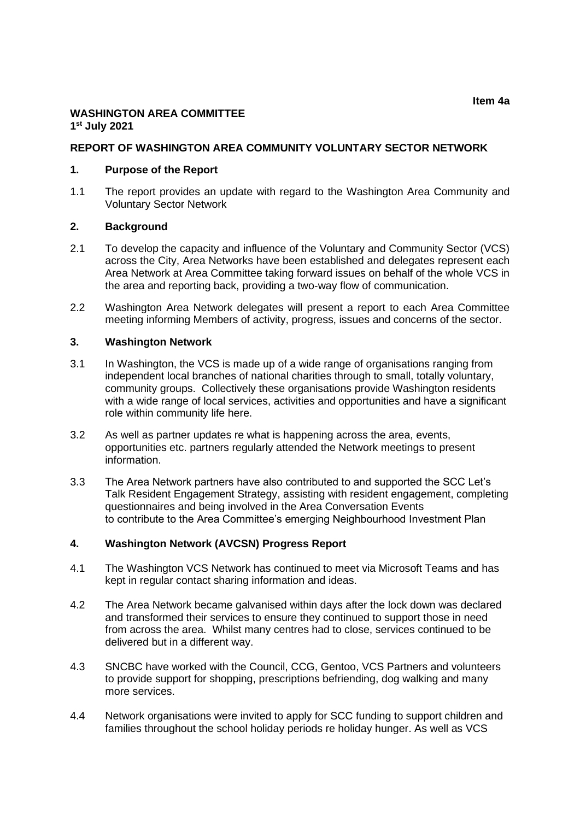# **WASHINGTON AREA COMMITTEE 1 st July 2021**

### **REPORT OF WASHINGTON AREA COMMUNITY VOLUNTARY SECTOR NETWORK**

#### **1. Purpose of the Report**

1.1 The report provides an update with regard to the Washington Area Community and Voluntary Sector Network

### **2. Background**

- 2.1 To develop the capacity and influence of the Voluntary and Community Sector (VCS) across the City, Area Networks have been established and delegates represent each Area Network at Area Committee taking forward issues on behalf of the whole VCS in the area and reporting back, providing a two-way flow of communication.
- 2.2 Washington Area Network delegates will present a report to each Area Committee meeting informing Members of activity, progress, issues and concerns of the sector.

#### **3. Washington Network**

- 3.1 In Washington, the VCS is made up of a wide range of organisations ranging from independent local branches of national charities through to small, totally voluntary, community groups. Collectively these organisations provide Washington residents with a wide range of local services, activities and opportunities and have a significant role within community life here.
- 3.2 As well as partner updates re what is happening across the area, events, opportunities etc. partners regularly attended the Network meetings to present information.
- 3.3 The Area Network partners have also contributed to and supported the SCC Let's Talk Resident Engagement Strategy, assisting with resident engagement, completing questionnaires and being involved in the Area Conversation Events to contribute to the Area Committee's emerging Neighbourhood Investment Plan

## **4. Washington Network (AVCSN) Progress Report**

- 4.1 The Washington VCS Network has continued to meet via Microsoft Teams and has kept in regular contact sharing information and ideas.
- 4.2 The Area Network became galvanised within days after the lock down was declared and transformed their services to ensure they continued to support those in need from across the area. Whilst many centres had to close, services continued to be delivered but in a different way.
- 4.3 SNCBC have worked with the Council, CCG, Gentoo, VCS Partners and volunteers to provide support for shopping, prescriptions befriending, dog walking and many more services.
- 4.4 Network organisations were invited to apply for SCC funding to support children and families throughout the school holiday periods re holiday hunger. As well as VCS